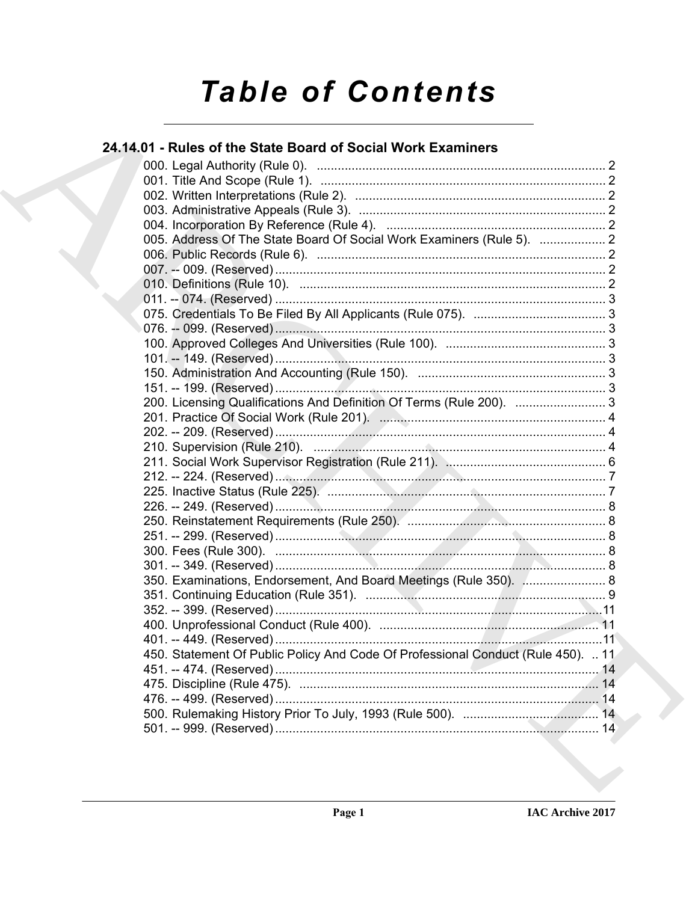# **Table of Contents**

### 24.14.01 - Rules of the State Board of Social Work Examiners

| 005. Address Of The State Board Of Social Work Examiners (Rule 5).  2            |  |
|----------------------------------------------------------------------------------|--|
|                                                                                  |  |
|                                                                                  |  |
|                                                                                  |  |
|                                                                                  |  |
|                                                                                  |  |
|                                                                                  |  |
|                                                                                  |  |
|                                                                                  |  |
|                                                                                  |  |
|                                                                                  |  |
| 200. Licensing Qualifications And Definition Of Terms (Rule 200).  3             |  |
|                                                                                  |  |
|                                                                                  |  |
|                                                                                  |  |
|                                                                                  |  |
|                                                                                  |  |
|                                                                                  |  |
|                                                                                  |  |
|                                                                                  |  |
|                                                                                  |  |
|                                                                                  |  |
|                                                                                  |  |
| 350. Examinations, Endorsement, And Board Meetings (Rule 350).  8                |  |
|                                                                                  |  |
|                                                                                  |  |
|                                                                                  |  |
|                                                                                  |  |
| 450. Statement Of Public Policy And Code Of Professional Conduct (Rule 450).  11 |  |
|                                                                                  |  |
|                                                                                  |  |
|                                                                                  |  |
|                                                                                  |  |
|                                                                                  |  |
|                                                                                  |  |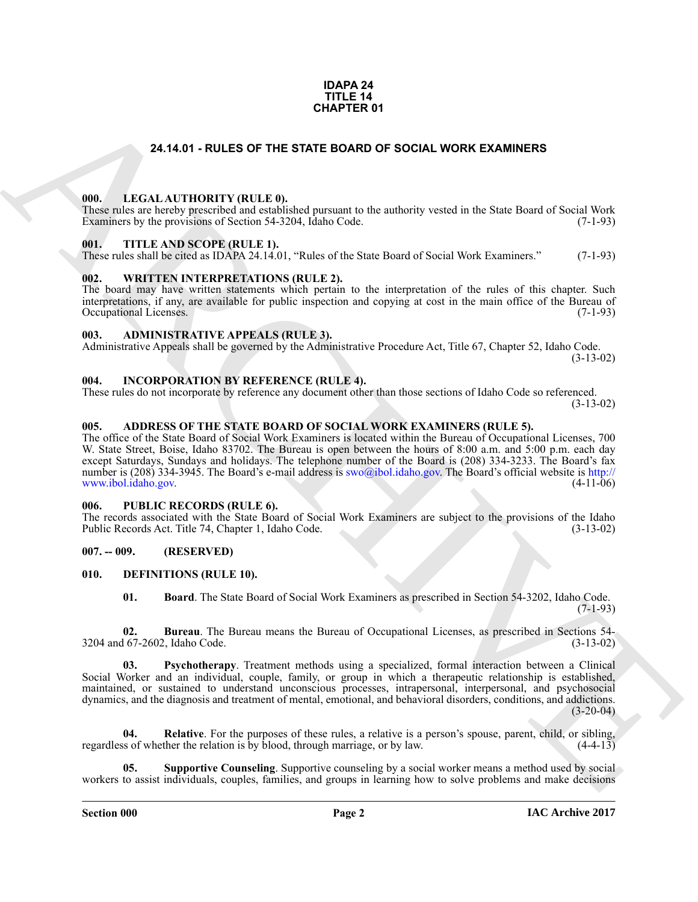#### **IDAPA 24 TITLE 14 CHAPTER 01**

#### **24.14.01 - RULES OF THE STATE BOARD OF SOCIAL WORK EXAMINERS**

#### <span id="page-1-1"></span><span id="page-1-0"></span>**000. LEGAL AUTHORITY (RULE 0).**

These rules are hereby prescribed and established pursuant to the authority vested in the State Board of Social Work Examiners by the provisions of Section 54-3204, Idaho Code. (7-1-93)

#### <span id="page-1-2"></span>**001. TITLE AND SCOPE (RULE 1).**

These rules shall be cited as IDAPA 24.14.01, "Rules of the State Board of Social Work Examiners." (7-1-93)

#### <span id="page-1-3"></span>**002. WRITTEN INTERPRETATIONS (RULE 2).**

The board may have written statements which pertain to the interpretation of the rules of this chapter. Such interpretations, if any, are available for public inspection and copying at cost in the main office of the Bureau of Occupational Licenses. (7-1-93) Occupational Licenses.

#### <span id="page-1-4"></span>**003. ADMINISTRATIVE APPEALS (RULE 3).**

Administrative Appeals shall be governed by the Administrative Procedure Act, Title 67, Chapter 52, Idaho Code.

(3-13-02)

#### <span id="page-1-5"></span>**004. INCORPORATION BY REFERENCE (RULE 4).**

These rules do not incorporate by reference any document other than those sections of Idaho Code so referenced. (3-13-02)

#### <span id="page-1-6"></span>**005. ADDRESS OF THE STATE BOARD OF SOCIAL WORK EXAMINERS (RULE 5).**

**24.14.01 - ROLES OF THE STATE BOARD OF SOCIAL WORK EXAMINERS<br>
THE LEGAL ALTITIONTY (RULE B)**<br>
THE LEGAL ALTITIONT VIRULE B)<br>
THE LANDSCOPE RELEAT.<br>
THE LANDSCOPE RELEAT.<br>
THE LANDSCOPE RELEAT.<br>
THE LANDSCOPE RELEAT.<br>
THE The office of the State Board of Social Work Examiners is located within the Bureau of Occupational Licenses, 700 W. State Street, Boise, Idaho 83702. The Bureau is open between the hours of 8:00 a.m. and 5:00 p.m. each day except Saturdays, Sundays and holidays. The telephone number of the Board is (208) 334-3233. The Board's fax number is (208) 334-3945. The Board's e-mail address is swo@ibol.idaho.gov. The Board's official website is http://<br>www.ibol.idaho.gov. (4-11-06) www.ibol.idaho.gov.

#### <span id="page-1-7"></span>**006. PUBLIC RECORDS (RULE 6).**

The records associated with the State Board of Social Work Examiners are subject to the provisions of the Idaho<br>Public Records Act. Title 74, Chapter 1, Idaho Code. (3-13-02) Public Records Act. Title 74, Chapter 1, Idaho Code.

#### <span id="page-1-8"></span>**007. -- 009. (RESERVED)**

#### <span id="page-1-9"></span>**010. DEFINITIONS (RULE 10).**

<span id="page-1-13"></span><span id="page-1-12"></span><span id="page-1-11"></span><span id="page-1-10"></span>**01. Board**. The State Board of Social Work Examiners as prescribed in Section 54-3202, Idaho Code. (7-1-93)

**02. Bureau**. The Bureau means the Bureau of Occupational Licenses, as prescribed in Sections 54- 3204 and 67-2602, Idaho Code. (3-13-02)

**03. Psychotherapy**. Treatment methods using a specialized, formal interaction between a Clinical Social Worker and an individual, couple, family, or group in which a therapeutic relationship is established, maintained, or sustained to understand unconscious processes, intrapersonal, interpersonal, and psychosocial dynamics, and the diagnosis and treatment of mental, emotional, and behavioral disorders, conditions, and addictions.  $(3-20-04)$ 

<span id="page-1-14"></span>**04.** Relative. For the purposes of these rules, a relative is a person's spouse, parent, child, or sibling, so of whether the relation is by blood, through marriage, or by law. (4-4-13) regardless of whether the relation is by blood, through marriage, or by law.

<span id="page-1-15"></span>**05. Supportive Counseling**. Supportive counseling by a social worker means a method used by social workers to assist individuals, couples, families, and groups in learning how to solve problems and make decisions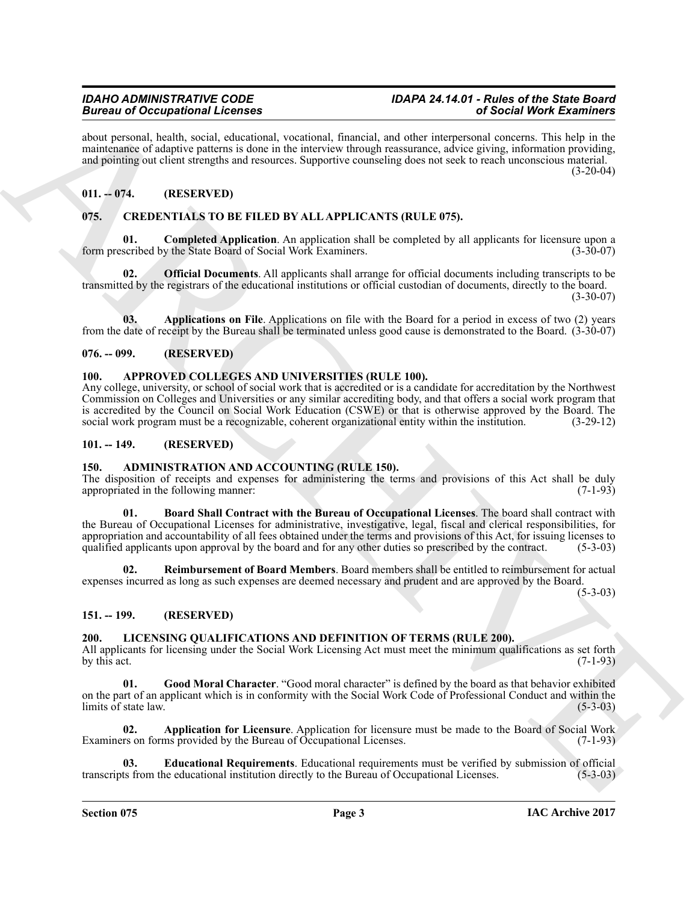about personal, health, social, educational, vocational, financial, and other interpersonal concerns. This help in the maintenance of adaptive patterns is done in the interview through reassurance, advice giving, information providing, and pointing out client strengths and resources. Supportive counseling does not seek to reach unconscious material.  $(3-20-04)$ 

#### <span id="page-2-0"></span>**011. -- 074. (RESERVED)**

#### <span id="page-2-12"></span><span id="page-2-1"></span>**075. CREDENTIALS TO BE FILED BY ALL APPLICANTS (RULE 075).**

<span id="page-2-14"></span>**Completed Application**. An application shall be completed by all applicants for licensure upon a y the State Board of Social Work Examiners. (3-30-07) form prescribed by the State Board of Social Work Examiners.

<span id="page-2-15"></span>**02. Official Documents**. All applicants shall arrange for official documents including transcripts to be transmitted by the registrars of the educational institutions or official custodian of documents, directly to the board.  $(3-30-07)$ 

<span id="page-2-13"></span>**03. Applications on File**. Applications on file with the Board for a period in excess of two (2) years from the date of receipt by the Bureau shall be terminated unless good cause is demonstrated to the Board. (3-30-07)

#### <span id="page-2-2"></span>**076. -- 099. (RESERVED)**

#### <span id="page-2-11"></span><span id="page-2-3"></span>**100. APPROVED COLLEGES AND UNIVERSITIES (RULE 100).**

Any college, university, or school of social work that is accredited or is a candidate for accreditation by the Northwest Commission on Colleges and Universities or any similar accrediting body, and that offers a social work program that is accredited by the Council on Social Work Education (CSWE) or that is otherwise approved by the Board. The social work program must be a recognizable, coherent organizational entity within the institution. (3-29-12) social work program must be a recognizable, coherent organizational entity within the institution.

#### <span id="page-2-4"></span>**101. -- 149. (RESERVED)**

#### <span id="page-2-8"></span><span id="page-2-5"></span>**150. ADMINISTRATION AND ACCOUNTING (RULE 150).**

<span id="page-2-9"></span>The disposition of receipts and expenses for administering the terms and provisions of this Act shall be duly appropriated in the following manner: appropriated in the following manner:

Brain of Occupation Relevants<br>
And recommends the space of the space of the space of the space of the space of the space of the space of the space of the space of the space of the space of the space of the space of the sp **01. Board Shall Contract with the Bureau of Occupational Licenses**. The board shall contract with the Bureau of Occupational Licenses for administrative, investigative, legal, fiscal and clerical responsibilities, for appropriation and accountability of all fees obtained under the terms and provisions of this Act, for issuing licenses to qualified applicants upon approval by the board and for any other duties so prescribed by the contract. (5-3-03)

<span id="page-2-10"></span>**02. Reimbursement of Board Members**. Board members shall be entitled to reimbursement for actual expenses incurred as long as such expenses are deemed necessary and prudent and are approved by the Board.

 $(5-3-03)$ 

#### <span id="page-2-6"></span>**151. -- 199. (RESERVED)**

#### <span id="page-2-16"></span><span id="page-2-7"></span>**200. LICENSING QUALIFICATIONS AND DEFINITION OF TERMS (RULE 200).**

All applicants for licensing under the Social Work Licensing Act must meet the minimum qualifications as set forth by this act. (7-1-93) by this act.  $(7-1-93)$ 

<span id="page-2-19"></span>**01. Good Moral Character**. "Good moral character" is defined by the board as that behavior exhibited on the part of an applicant which is in conformity with the Social Work Code of Professional Conduct and within the limits of state law. (5-3-03) limits of state law.

<span id="page-2-17"></span>**02. Application for Licensure**. Application for licensure must be made to the Board of Social Work Examiners on forms provided by the Bureau of Occupational Licenses. (7-1-93)

<span id="page-2-18"></span>**Educational Requirements**. Educational requirements must be verified by submission of official ne educational institution directly to the Bureau of Occupational Licenses. (5-3-03) transcripts from the educational institution directly to the Bureau of Occupational Licenses.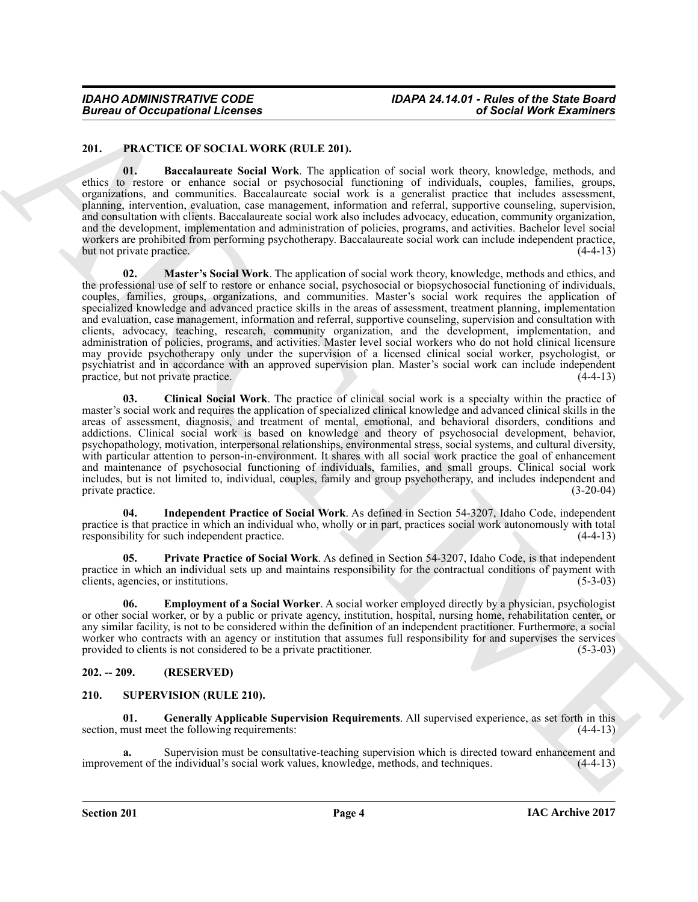#### <span id="page-3-3"></span><span id="page-3-0"></span>**201. PRACTICE OF SOCIAL WORK (RULE 201).**

<span id="page-3-8"></span><span id="page-3-4"></span>**01. Baccalaureate Social Work**. The application of social work theory, knowledge, methods, and ethics to restore or enhance social or psychosocial functioning of individuals, couples, families, groups, organizations, and communities. Baccalaureate social work is a generalist practice that includes assessment, planning, intervention, evaluation, case management, information and referral, supportive counseling, supervision, and consultation with clients. Baccalaureate social work also includes advocacy, education, community organization, and the development, implementation and administration of policies, programs, and activities. Bachelor level social workers are prohibited from performing psychotherapy. Baccalaureate social work can include independent practice,<br>but not private practice. (4-4-13) but not private practice.

**Eurosis of Occupations I. Fermines and the ULE 2011.**<br> **CALCITED CONTROLLY IN THE TEND IS a strength of the ULE 2011.**<br> **CALCITED CONTROLLY IN THE TEND IS a strength of the ULE 2012**<br> **CALCITED CONTROLLY IN THE TEND IS a 02. Master's Social Work**. The application of social work theory, knowledge, methods and ethics, and the professional use of self to restore or enhance social, psychosocial or biopsychosocial functioning of individuals, couples, families, groups, organizations, and communities. Master's social work requires the application of specialized knowledge and advanced practice skills in the areas of assessment, treatment planning, implementation and evaluation, case management, information and referral, supportive counseling, supervision and consultation with clients, advocacy, teaching, research, community organization, and the development, implementation, and administration of policies, programs, and activities. Master level social workers who do not hold clinical licensure may provide psychotherapy only under the supervision of a licensed clinical social worker, psychologist, or psychiatrist and in accordance with an approved supervision plan. Master's social work can include independent practice, but not private practice.

<span id="page-3-5"></span>**03. Clinical Social Work**. The practice of clinical social work is a specialty within the practice of master's social work and requires the application of specialized clinical knowledge and advanced clinical skills in the areas of assessment, diagnosis, and treatment of mental, emotional, and behavioral disorders, conditions and addictions. Clinical social work is based on knowledge and theory of psychosocial development, behavior, psychopathology, motivation, interpersonal relationships, environmental stress, social systems, and cultural diversity, with particular attention to person-in-environment. It shares with all social work practice the goal of enhancement and maintenance of psychosocial functioning of individuals, families, and small groups. Clinical social work includes, but is not limited to, individual, couples, family and group psychotherapy, and includes independent and private practice.

<span id="page-3-7"></span>**04. Independent Practice of Social Work**. As defined in Section 54-3207, Idaho Code, independent practice is that practice in which an individual who, wholly or in part, practices social work autonomously with total responsibility for such independent practice. responsibility for such independent practice.

<span id="page-3-9"></span>**05. Private Practice of Social Work**. As defined in Section 54-3207, Idaho Code, is that independent practice in which an individual sets up and maintains responsibility for the contractual conditions of payment with clients, agencies, or institutions. (5-3-03) clients, agencies, or institutions.

<span id="page-3-6"></span>**06. Employment of a Social Worker**. A social worker employed directly by a physician, psychologist or other social worker, or by a public or private agency, institution, hospital, nursing home, rehabilitation center, or any similar facility, is not to be considered within the definition of an independent practitioner. Furthermore, a social worker who contracts with an agency or institution that assumes full responsibility for and supervises the services provided to clients is not considered to be a private practitioner. (5-3-03) provided to clients is not considered to be a private practitioner.

#### <span id="page-3-1"></span>**202. -- 209. (RESERVED)**

#### <span id="page-3-10"></span><span id="page-3-2"></span>**210. SUPERVISION (RULE 210).**

<span id="page-3-11"></span>**01. Generally Applicable Supervision Requirements**. All supervised experience, as set forth in this section, must meet the following requirements:

**a.** Supervision must be consultative-teaching supervision which is directed toward enhancement and ment of the individual's social work values, knowledge, methods, and techniques. (4-4-13) improvement of the individual's social work values, knowledge, methods, and techniques.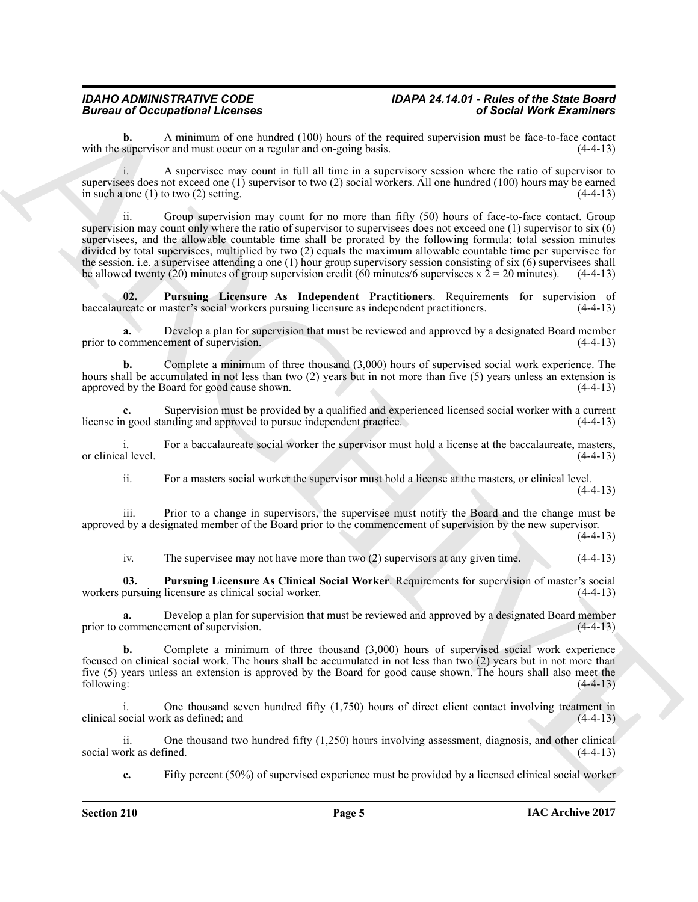#### *IDAHO ADMINISTRATIVE CODE IDAPA 24.14.01 - Rules of the State Board Bureau of Occupational Licenses of Social Work Examiners*

**b.** A minimum of one hundred (100) hours of the required supervision must be face-to-face contact supervision and must occur on a regular and on-going basis. (4-4-13) with the supervisor and must occur on a regular and on-going basis.

i. A supervisee may count in full all time in a supervisory session where the ratio of supervisor to supervisees does not exceed one (1) supervisor to two (2) social workers. All one hundred (100) hours may be earned<br>in such a one (1) to two (2) setting. (4-4-13) in such a one  $(1)$  to two  $(2)$  setting.

Bureau of Occupation Particular Action 1180 lawas of the required are also **30 Social Work Examines**<br>
with the upper star and law of the star and the star and the star and the star and the star and the star and the star a ii. Group supervision may count for no more than fifty (50) hours of face-to-face contact. Group supervision may count only where the ratio of supervisor to supervisees does not exceed one (1) supervisor to six  $(6)$ supervisees, and the allowable countable time shall be prorated by the following formula: total session minutes divided by total supervisees, multiplied by two (2) equals the maximum allowable countable time per supervisee for the session. i.e. a supervisee attending a one (1) hour group supervisory session consisting of six (6) supervisees shall be allowed twenty (20) minutes of group supervision credit (60 minutes/6 supervisees  $x$  2 = 20 min be allowed twenty (20) minutes of group supervision credit (60 minutes/6 supervisees  $x \bar{2} = 20$  minutes).

<span id="page-4-1"></span>**02. Pursuing Licensure As Independent Practitioners**. Requirements for supervision of reate or master's social workers pursuing licensure as independent practitioners. (4-4-13) baccalaureate or master's social workers pursuing licensure as independent practitioners.

**a.** Develop a plan for supervision that must be reviewed and approved by a designated Board member prior to commencement of supervision. (4-4-13)

**b.** Complete a minimum of three thousand (3,000) hours of supervised social work experience. The hours shall be accumulated in not less than two (2) years but in not more than five (5) years unless an extension is approved by the Board for good cause shown. approved by the Board for good cause shown.

Supervision must be provided by a qualified and experienced licensed social worker with a current anding and approved to pursue independent practice. license in good standing and approved to pursue independent practice.

For a baccalaureate social worker the supervisor must hold a license at the baccalaureate, masters, (4-4-13) or clinical level.

ii. For a masters social worker the supervisor must hold a license at the masters, or clinical level.  $(4-4-13)$ 

iii. Prior to a change in supervisors, the supervisee must notify the Board and the change must be approved by a designated member of the Board prior to the commencement of supervision by the new supervisor.

 $(4-4-13)$ 

<span id="page-4-0"></span>iv. The supervisee may not have more than two (2) supervisors at any given time. (4-4-13)

**03. Pursuing Licensure As Clinical Social Worker**. Requirements for supervision of master's social workers pursuing licensure as clinical social worker.

**a.** Develop a plan for supervision that must be reviewed and approved by a designated Board member commencement of supervision. (4-4-13) prior to commencement of supervision.

**b.** Complete a minimum of three thousand (3,000) hours of supervised social work experience focused on clinical social work. The hours shall be accumulated in not less than two (2) years but in not more than five (5) years unless an extension is approved by the Board for good cause shown. The hours shall also meet the following: (4-4-13) following: (4-4-13)

i. One thousand seven hundred fifty (1,750) hours of direct client contact involving treatment in clinical social work as defined; and (4-4-13)

ii. One thousand two hundred fifty (1,250) hours involving assessment, diagnosis, and other clinical social work as defined.

**c.** Fifty percent (50%) of supervised experience must be provided by a licensed clinical social worker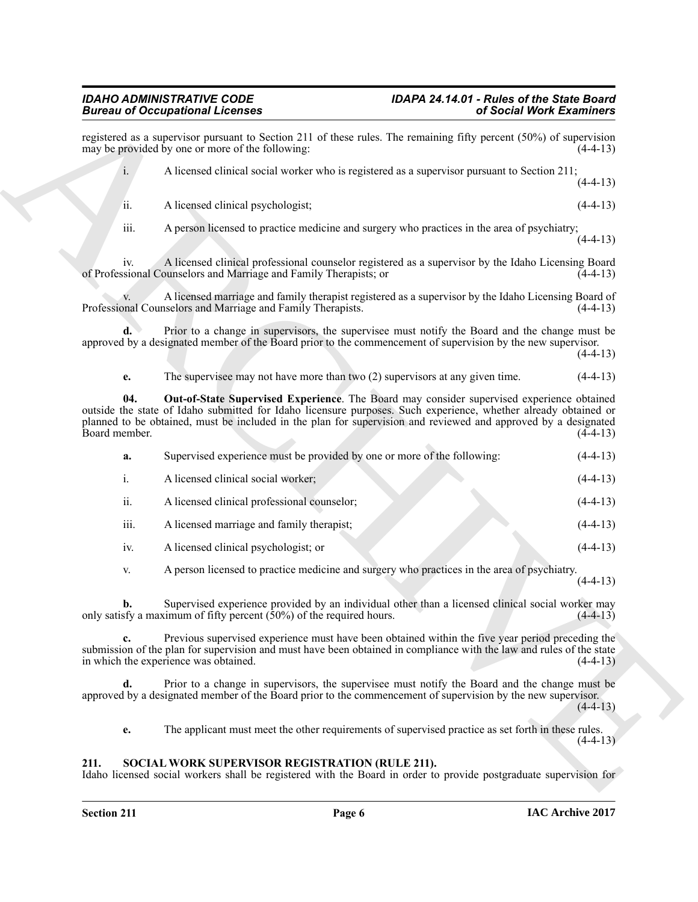Brainwise of Coccasion and Section 211 of these radio. The recentral of Section Work Examine and<br>
Archives provide the section 211 of these radio. The recentral the presence of  $(30\%$  of the section 211<br>
A Recentral chan registered as a supervisor pursuant to Section 211 of these rules. The remaining fifty percent (50%) of supervision may be provided by one or more of the following: may be provided by one or more of the following: i. A licensed clinical social worker who is registered as a supervisor pursuant to Section 211;  $(4-4-13)$ ii. A licensed clinical psychologist; (4-4-13) iii. A person licensed to practice medicine and surgery who practices in the area of psychiatry;  $(4-4-13)$ iv. A licensed clinical professional counselor registered as a supervisor by the Idaho Licensing Board of Professional Counselors and Marriage and Family Therapists; or v. A licensed marriage and family therapist registered as a supervisor by the Idaho Licensing Board of Professional Counselors and Marriage and Family Therapists. **d.** Prior to a change in supervisors, the supervisee must notify the Board and the change must be approved by a designated member of the Board prior to the commencement of supervision by the new supervisor.  $(4-4-13)$ **e.** The supervisee may not have more than two (2) supervisors at any given time.  $(4-4-13)$ **04. Out-of-State Supervised Experience**. The Board may consider supervised experience obtained outside the state of Idaho submitted for Idaho licensure purposes. Such experience, whether already obtained or planned to be obtained, must be included in the plan for supervision and reviewed and approved by a designated Board member. **a.** Supervised experience must be provided by one or more of the following: (4-4-13) i. A licensed clinical social worker; (4-4-13) ii. A licensed clinical professional counselor; (4-4-13) iii. A licensed marriage and family therapist; (4-4-13) iv. A licensed clinical psychologist; or (4-4-13) v. A person licensed to practice medicine and surgery who practices in the area of psychiatry.  $(4-4-13)$ **b.** Supervised experience provided by an individual other than a licensed clinical social worker may only satisfy a maximum of fifty percent  $(50\%)$  of the required hours.  $(4-4-13)$ 

<span id="page-5-2"></span>**c.** Previous supervised experience must have been obtained within the five year period preceding the submission of the plan for supervision and must have been obtained in compliance with the law and rules of the state<br>in which the experience was obtained. (4-4-13) in which the experience was obtained.

**d.** Prior to a change in supervisors, the supervisee must notify the Board and the change must be approved by a designated member of the Board prior to the commencement of supervision by the new supervisor.

 $(4-4-13)$ 

<span id="page-5-1"></span>**e.** The applicant must meet the other requirements of supervised practice as set forth in these rules.  $(4-4-13)$ 

#### <span id="page-5-0"></span>**211. SOCIAL WORK SUPERVISOR REGISTRATION (RULE 211).**

Idaho licensed social workers shall be registered with the Board in order to provide postgraduate supervision for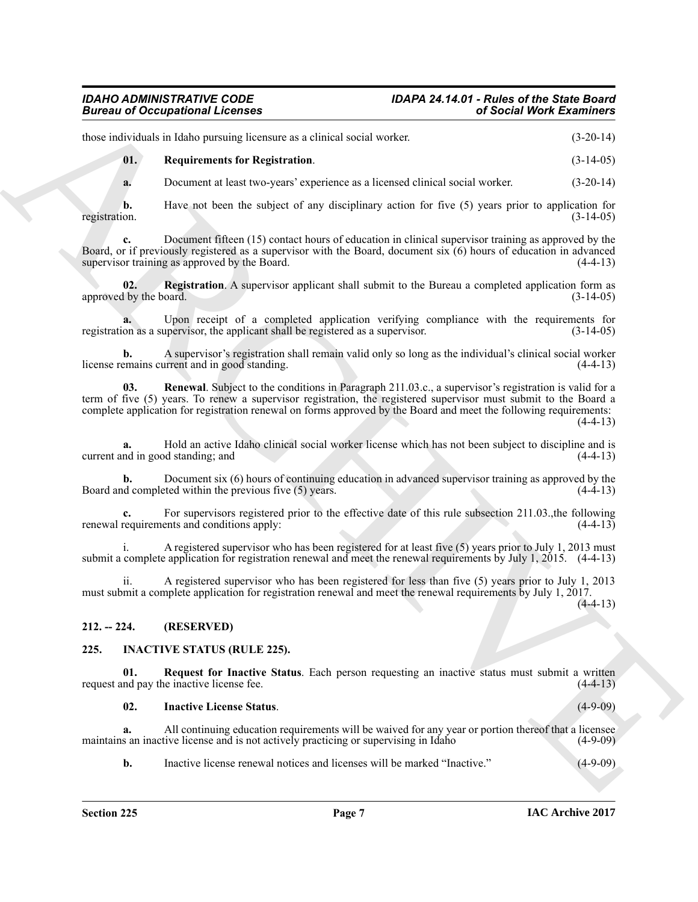### *IDAHO ADMINISTRATIVE CODE IDAPA 24.14.01 - Rules of the State Board*

those individuals in Idaho pursuing licensure as a clinical social worker. (3-20-14)

<span id="page-6-7"></span>**01. Requirements for Registration**. (3-14-05)

**a.** Document at least two-years' experience as a licensed clinical social worker. (3-20-14)

**b.** Have not been the subject of any disciplinary action for five (5) years prior to application for registration.  $(3-14-05)$ registration. (3-14-05)

**c.** Document fifteen (15) contact hours of education in clinical supervisor training as approved by the Board, or if previously registered as a supervisor with the Board, document six  $(6)$  hours of education in advanced supervisor training as approved by the Board.  $(4-4-13)$ supervisor training as approved by the Board.

<span id="page-6-5"></span>**02. Registration**. A supervisor applicant shall submit to the Bureau a completed application form as approved by the board. (3-14-05)

**a.** Upon receipt of a completed application verifying compliance with the requirements for on as a supervisor, the applicant shall be registered as a supervisor.  $(3-14-05)$ registration as a supervisor, the applicant shall be registered as a supervisor.

<span id="page-6-6"></span>**b.** A supervisor's registration shall remain valid only so long as the individual's clinical social worker emains current and in good standing. license remains current and in good standing.

Bioresis of Occupations I Leonards<br>
thus, and show that proportions the context in a shall settle weak of Section March 2.14(14)<br>
the method in the settlement for logical context in a shall settlement of the settlement<br>
i **03. Renewal**. Subject to the conditions in Paragraph 211.03.c., a supervisor's registration is valid for a term of five (5) years. To renew a supervisor registration, the registered supervisor must submit to the Board a complete application for registration renewal on forms approved by the Board and meet the following requirements:  $(4-4-13)$ 

**a.** Hold an active Idaho clinical social worker license which has not been subject to discipline and is nd in good standing; and (4-4-13) current and in good standing; and

**b.** Document six (6) hours of continuing education in advanced supervisor training as approved by the d completed within the previous five (5) years. (4-4-13) Board and completed within the previous five  $(5)$  years.

For supervisors registered prior to the effective date of this rule subsection 211.03.,the following ents and conditions apply: (4-4-13) renewal requirements and conditions apply:

A registered supervisor who has been registered for at least five (5) years prior to July 1, 2013 must submit a complete application for registration renewal and meet the renewal requirements by July 1, 2015. (4-4-13)

ii. A registered supervisor who has been registered for less than five (5) years prior to July 1, 2013 must submit a complete application for registration renewal and meet the renewal requirements by July 1, 2017.  $(4-4-13)$ 

<span id="page-6-0"></span>**212. -- 224. (RESERVED)**

#### <span id="page-6-2"></span><span id="page-6-1"></span>**225. INACTIVE STATUS (RULE 225).**

**01. Request for Inactive Status**. Each person requesting an inactive status must submit a written request and pay the inactive license fee. (4-4-13)

<span id="page-6-4"></span><span id="page-6-3"></span>**02. Inactive License Status**. (4-9-09)

**a.** All continuing education requirements will be waived for any year or portion thereof that a licensee maintains an inactive license and is not actively practicing or supervising in Idaho (4-9-09)

**b.** Inactive license renewal notices and licenses will be marked "Inactive." (4-9-09)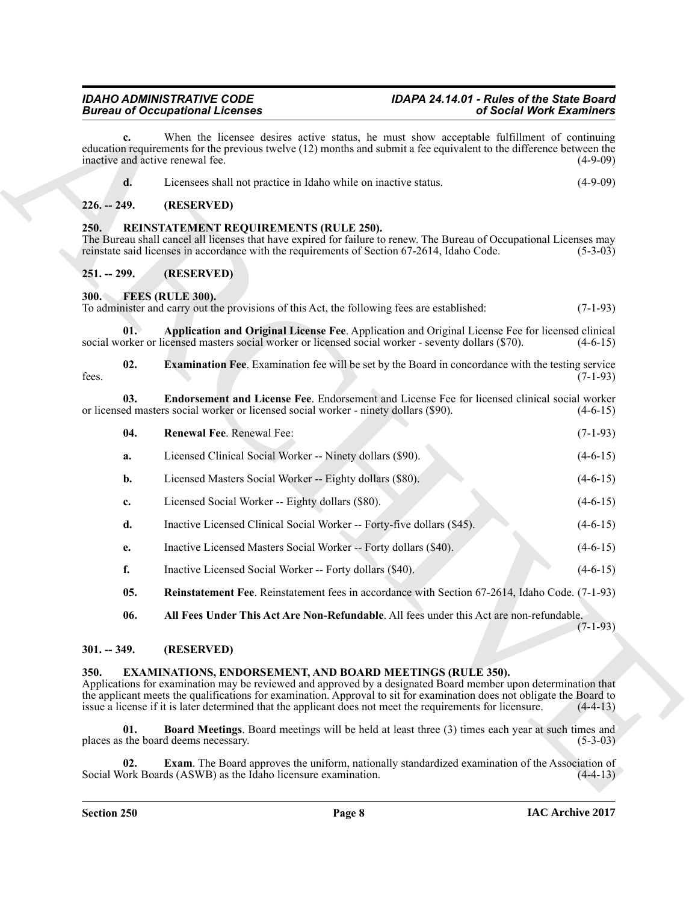### <span id="page-7-16"></span><span id="page-7-2"></span><span id="page-7-1"></span><span id="page-7-0"></span>*IDAHO ADMINISTRATIVE CODE IDAPA 24.14.01 - Rules of the State Board*

| <b>Bureau of Occupational Licenses</b>                                                                                                                                                                                                                                                                                                                                                                                             |                                                                                                                                                                                                                                                               | of Social Work Examiners                                                                                                                                                                                                         |            |  |  |
|------------------------------------------------------------------------------------------------------------------------------------------------------------------------------------------------------------------------------------------------------------------------------------------------------------------------------------------------------------------------------------------------------------------------------------|---------------------------------------------------------------------------------------------------------------------------------------------------------------------------------------------------------------------------------------------------------------|----------------------------------------------------------------------------------------------------------------------------------------------------------------------------------------------------------------------------------|------------|--|--|
| c.<br>inactive and active renewal fee.                                                                                                                                                                                                                                                                                                                                                                                             |                                                                                                                                                                                                                                                               | When the licensee desires active status, he must show acceptable fulfillment of continuing<br>education requirements for the previous twelve (12) months and submit a fee equivalent to the difference between the<br>$(4-9-09)$ |            |  |  |
| d.                                                                                                                                                                                                                                                                                                                                                                                                                                 | Licensees shall not practice in Idaho while on inactive status.                                                                                                                                                                                               |                                                                                                                                                                                                                                  | $(4-9-09)$ |  |  |
| $226. - 249.$                                                                                                                                                                                                                                                                                                                                                                                                                      | (RESERVED)                                                                                                                                                                                                                                                    |                                                                                                                                                                                                                                  |            |  |  |
| 250.                                                                                                                                                                                                                                                                                                                                                                                                                               | REINSTATEMENT REQUIREMENTS (RULE 250).<br>The Bureau shall cancel all licenses that have expired for failure to renew. The Bureau of Occupational Licenses may<br>reinstate said licenses in accordance with the requirements of Section 67-2614, Idaho Code. |                                                                                                                                                                                                                                  | $(5-3-03)$ |  |  |
| $251. - 299.$                                                                                                                                                                                                                                                                                                                                                                                                                      | (RESERVED)                                                                                                                                                                                                                                                    |                                                                                                                                                                                                                                  |            |  |  |
| <b>300.</b>                                                                                                                                                                                                                                                                                                                                                                                                                        | FEES (RULE 300).<br>To administer and carry out the provisions of this Act, the following fees are established:                                                                                                                                               |                                                                                                                                                                                                                                  | $(7-1-93)$ |  |  |
| 01.                                                                                                                                                                                                                                                                                                                                                                                                                                | Application and Original License Fee. Application and Original License Fee for licensed clinical<br>social worker or licensed masters social worker or licensed social worker - seventy dollars (\$70).                                                       |                                                                                                                                                                                                                                  | $(4-6-15)$ |  |  |
| 02.<br>fees.                                                                                                                                                                                                                                                                                                                                                                                                                       | <b>Examination Fee.</b> Examination fee will be set by the Board in concordance with the testing service                                                                                                                                                      |                                                                                                                                                                                                                                  | $(7-1-93)$ |  |  |
| Endorsement and License Fee. Endorsement and License Fee for licensed clinical social worker<br>03.<br>or licensed masters social worker or licensed social worker - ninety dollars (\$90).<br>$(4-6-15)$                                                                                                                                                                                                                          |                                                                                                                                                                                                                                                               |                                                                                                                                                                                                                                  |            |  |  |
| 04.                                                                                                                                                                                                                                                                                                                                                                                                                                | Renewal Fee. Renewal Fee:                                                                                                                                                                                                                                     |                                                                                                                                                                                                                                  | $(7-1-93)$ |  |  |
| a.                                                                                                                                                                                                                                                                                                                                                                                                                                 | Licensed Clinical Social Worker -- Ninety dollars (\$90).                                                                                                                                                                                                     |                                                                                                                                                                                                                                  | $(4-6-15)$ |  |  |
| b.                                                                                                                                                                                                                                                                                                                                                                                                                                 | Licensed Masters Social Worker -- Eighty dollars (\$80).                                                                                                                                                                                                      |                                                                                                                                                                                                                                  | $(4-6-15)$ |  |  |
| c.                                                                                                                                                                                                                                                                                                                                                                                                                                 | Licensed Social Worker -- Eighty dollars (\$80).                                                                                                                                                                                                              |                                                                                                                                                                                                                                  | $(4-6-15)$ |  |  |
| d.                                                                                                                                                                                                                                                                                                                                                                                                                                 | Inactive Licensed Clinical Social Worker -- Forty-five dollars (\$45).                                                                                                                                                                                        |                                                                                                                                                                                                                                  | $(4-6-15)$ |  |  |
| e.                                                                                                                                                                                                                                                                                                                                                                                                                                 | Inactive Licensed Masters Social Worker -- Forty dollars (\$40).                                                                                                                                                                                              |                                                                                                                                                                                                                                  | $(4-6-15)$ |  |  |
| f.                                                                                                                                                                                                                                                                                                                                                                                                                                 | Inactive Licensed Social Worker -- Forty dollars (\$40).                                                                                                                                                                                                      |                                                                                                                                                                                                                                  | $(4-6-15)$ |  |  |
| 05.                                                                                                                                                                                                                                                                                                                                                                                                                                | Reinstatement Fee. Reinstatement fees in accordance with Section 67-2614, Idaho Code. (7-1-93)                                                                                                                                                                |                                                                                                                                                                                                                                  |            |  |  |
| 06.                                                                                                                                                                                                                                                                                                                                                                                                                                | All Fees Under This Act Are Non-Refundable. All fees under this Act are non-refundable.                                                                                                                                                                       |                                                                                                                                                                                                                                  | $(7-1-93)$ |  |  |
| $301. - 349.$                                                                                                                                                                                                                                                                                                                                                                                                                      | (RESERVED)                                                                                                                                                                                                                                                    |                                                                                                                                                                                                                                  |            |  |  |
| 350.<br><b>EXAMINATIONS, ENDORSEMENT, AND BOARD MEETINGS (RULE 350).</b><br>Applications for examination may be reviewed and approved by a designated Board member upon determination that<br>the applicant meets the qualifications for examination. Approval to sit for examination does not obligate the Board to<br>issue a license if it is later determined that the applicant does not meet the requirements for licensure. |                                                                                                                                                                                                                                                               |                                                                                                                                                                                                                                  |            |  |  |
| 01.                                                                                                                                                                                                                                                                                                                                                                                                                                | <b>Board Meetings.</b> Board meetings will be held at least three (3) times each year at such times and<br>places as the board deems necessary.                                                                                                               |                                                                                                                                                                                                                                  | $(5-3-03)$ |  |  |
|                                                                                                                                                                                                                                                                                                                                                                                                                                    |                                                                                                                                                                                                                                                               |                                                                                                                                                                                                                                  |            |  |  |

- <span id="page-7-15"></span><span id="page-7-13"></span><span id="page-7-12"></span><span id="page-7-11"></span><span id="page-7-9"></span><span id="page-7-3"></span>**b.** Licensed Masters Social Worker -- Eighty dollars (\$80). (4-6-15)
- **c.** Licensed Social Worker -- Eighty dollars (\$80). (4-6-15)
- **d.** Inactive Licensed Clinical Social Worker -- Forty-five dollars (\$45). (4-6-15)
- **e.** Inactive Licensed Masters Social Worker -- Forty dollars (\$40). (4-6-15)
- **f.** Inactive Licensed Social Worker -- Forty dollars (\$40). (4-6-15)
- <span id="page-7-14"></span><span id="page-7-10"></span>**05. Reinstatement Fee**. Reinstatement fees in accordance with Section 67-2614, Idaho Code. (7-1-93)

#### <span id="page-7-4"></span>**301. -- 349. (RESERVED)**

#### <span id="page-7-8"></span><span id="page-7-7"></span><span id="page-7-6"></span><span id="page-7-5"></span>**350. EXAMINATIONS, ENDORSEMENT, AND BOARD MEETINGS (RULE 350).**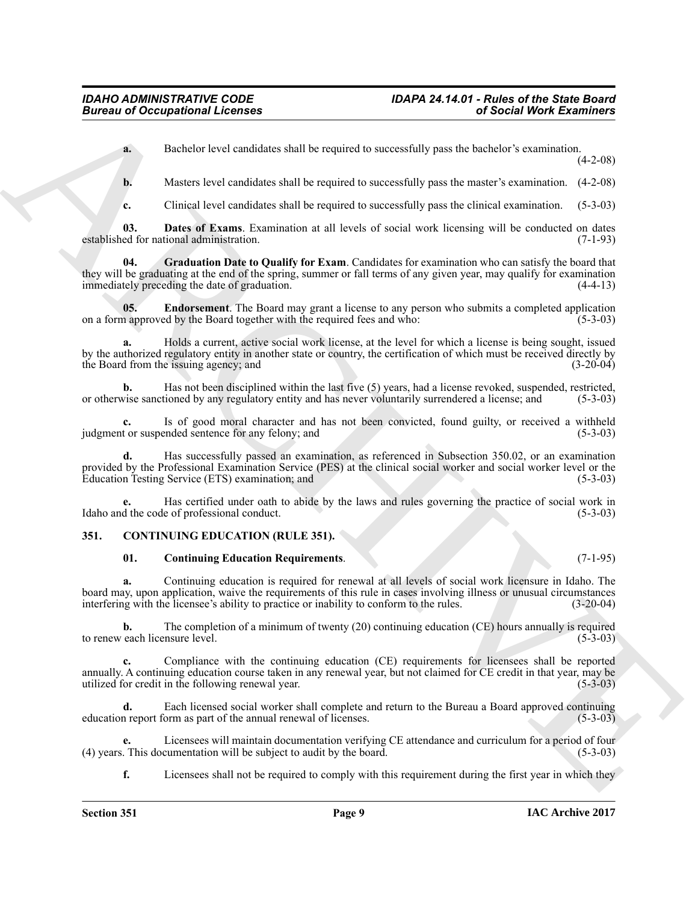**a.** Bachelor level candidates shall be required to successfully pass the bachelor's examination.

(4-2-08)

**b.** Masters level candidates shall be required to successfully pass the master's examination.  $(4-2-08)$ 

<span id="page-8-5"></span><span id="page-8-3"></span>**c.** Clinical level candidates shall be required to successfully pass the clinical examination. (5-3-03)

**03. Dates of Exams**. Examination at all levels of social work licensing will be conducted on dates established for national administration. (7-1-93)

**04. Graduation Date to Qualify for Exam**. Candidates for examination who can satisfy the board that they will be graduating at the end of the spring, summer or fall terms of any given year, may qualify for examination immediately preceding the date of graduation. (4-4-13) immediately preceding the date of graduation.

<span id="page-8-4"></span>**05. Endorsement**. The Board may grant a license to any person who submits a completed application approved by the Board together with the required fees and who: (5-3-03) on a form approved by the Board together with the required fees and who:

**a.** Holds a current, active social work license, at the level for which a license is being sought, issued by the authorized regulatory entity in another state or country, the certification of which must be received directly by the Board from the issuing agency; and (3-20-04)

**b.** Has not been disciplined within the last five (5) years, had a license revoked, suspended, restricted, vise sanctioned by any regulatory entity and has never voluntarily surrendered a license; and (5-3-03) or otherwise sanctioned by any regulatory entity and has never voluntarily surrendered a license; and

**c.** Is of good moral character and has not been convicted, found guilty, or received a withheld t or suspended sentence for any felony; and (5-3-03) judgment or suspended sentence for any felony; and

**d.** Has successfully passed an examination, as referenced in Subsection 350.02, or an examination provided by the Professional Examination Service (PES) at the clinical social worker and social worker level or the Education Testing Service (ETS) examination; and (5-3-03) Education Testing Service (ETS) examination; and

**e.** Has certified under oath to abide by the laws and rules governing the practice of social work in Idaho and the code of professional conduct. (5-3-03)

#### <span id="page-8-0"></span>**351. CONTINUING EDUCATION (RULE 351).**

#### <span id="page-8-2"></span><span id="page-8-1"></span>**01. Continuing Education Requirements**. (7-1-95)

**a.** Continuing education is required for renewal at all levels of social work licensure in Idaho. The board may, upon application, waive the requirements of this rule in cases involving illness or unusual circumstances interfering with the licensee's ability to practice or inability to conform to the rules. (3-20-04) interfering with the licensee's ability to practice or inability to conform to the rules.

**b.** The completion of a minimum of twenty (20) continuing education (CE) hours annually is required each licensure level. (5-3-03) to renew each licensure level.

Bureau of Occupations I. Leonards<br> **A**<br> **A** Detective local contrast and the required to successfully pass the brachival examination<br> **A** Detective local contrast and the required to successfully pass the brachival examin **c.** Compliance with the continuing education (CE) requirements for licensees shall be reported annually. A continuing education course taken in any renewal year, but not claimed for CE credit in that year, may be utilized for credit in the following renewal year. (5-3-03)

**d.** Each licensed social worker shall complete and return to the Bureau a Board approved continuing education report form as part of the annual renewal of licenses. (5-3-03)

Licensees will maintain documentation verifying CE attendance and curriculum for a period of four cumentation will be subject to audit by the board. (5-3-03) (4) years. This documentation will be subject to audit by the board.

**f.** Licensees shall not be required to comply with this requirement during the first year in which they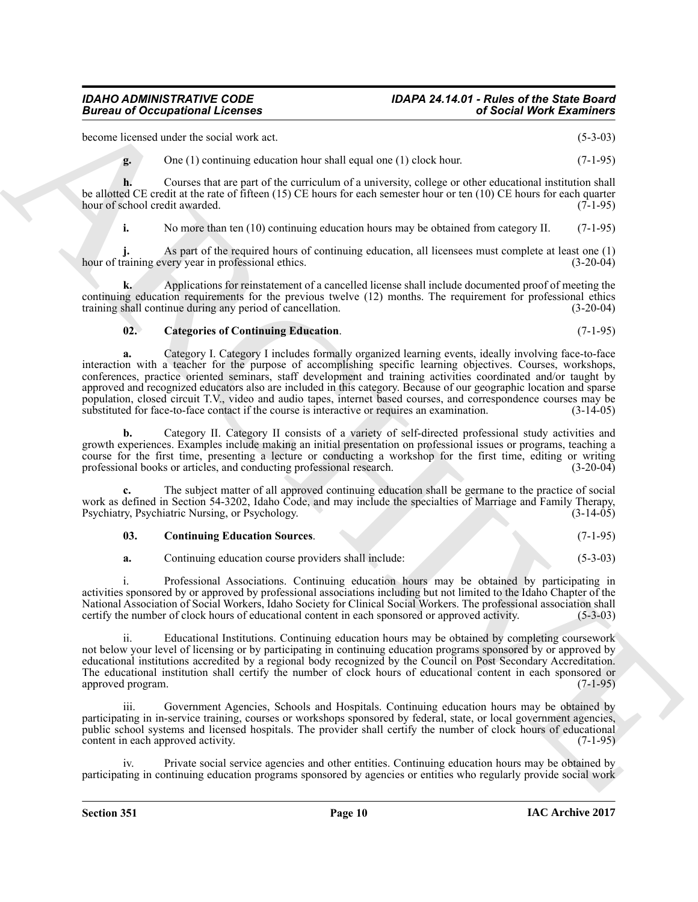become licensed under the social work act. (5-3-03)

**g.** One (1) continuing education hour shall equal one (1) clock hour. (7-1-95)

**h.** Courses that are part of the curriculum of a university, college or other educational institution shall be allotted CE credit at the rate of fifteen (15) CE hours for each semester hour or ten (10) CE hours for each quarter hour of school credit awarded. (7-1-95) hour of school credit awarded.

**i.** No more than ten (10) continuing education hours may be obtained from category II. (7-1-95)

**j.** As part of the required hours of continuing education, all licensees must complete at least one (1) raining every year in professional ethics. (3-20-04) hour of training every year in professional ethics.

**k.** Applications for reinstatement of a cancelled license shall include documented proof of meeting the continuing education requirements for the previous twelve (12) months. The requirement for professional ethics training shall continue during any period of cancellation. (3-20-04)

#### <span id="page-9-0"></span>**02. Categories of Continuing Education**. (7-1-95)

Biomas of Occupations I Leonards<br>
Second Mont Example,  $(1, -4, 0)$ <br>
Second Mont Example, and<br>
Leonards describes and the strained occupations of the strained occupations of the strained occupations and<br>  $\mathbf{F} = \begin{bmatrix} 1 &$ **a.** Category I. Category I includes formally organized learning events, ideally involving face-to-face interaction with a teacher for the purpose of accomplishing specific learning objectives. Courses, workshops, conferences, practice oriented seminars, staff development and training activities coordinated and/or taught by approved and recognized educators also are included in this category. Because of our geographic location and sparse population, closed circuit T.V., video and audio tapes, internet based courses, and correspondence courses may be substituted for face-to-face contact if the course is interactive or requires an examination. (3-14-05) substituted for face-to-face contact if the course is interactive or requires an examination.

**b.** Category II. Category II consists of a variety of self-directed professional study activities and growth experiences. Examples include making an initial presentation on professional issues or programs, teaching a course for the first time, presenting a lecture or conducting a workshop for the first time, editing or writing professional books or articles, and conducting professional research. (3-20-04) professional books or articles, and conducting professional research.

**c.** The subject matter of all approved continuing education shall be germane to the practice of social work as defined in Section 54-3202, Idaho Code, and may include the specialties of Marriage and Family Therapy,<br>Psychiatry, Psychiatric Nursing, or Psychology. (3-14-05) Psychiatry, Psychiatric Nursing, or Psychology.

<span id="page-9-1"></span>

| 03. | <b>Continuing Education Sources.</b> |  |  | $(7-1-95)$ |
|-----|--------------------------------------|--|--|------------|
|-----|--------------------------------------|--|--|------------|

**a.** Continuing education course providers shall include: (5-3-03)

i. Professional Associations. Continuing education hours may be obtained by participating in activities sponsored by or approved by professional associations including but not limited to the Idaho Chapter of the National Association of Social Workers, Idaho Society for Clinical Social Workers. The professional association shall certify the number of clock hours of educational content in each sponsored or approved activity. (5-3-03)

ii. Educational Institutions. Continuing education hours may be obtained by completing coursework not below your level of licensing or by participating in continuing education programs sponsored by or approved by educational institutions accredited by a regional body recognized by the Council on Post Secondary Accreditation. The educational institution shall certify the number of clock hours of educational content in each sponsored or approved program. (7-1-95) approved program.

iii. Government Agencies, Schools and Hospitals. Continuing education hours may be obtained by participating in in-service training, courses or workshops sponsored by federal, state, or local government agencies, public school systems and licensed hospitals. The provider shall certify the number of clock hours of educational content in each approved activity. (7-1-95) content in each approved activity.

Private social service agencies and other entities. Continuing education hours may be obtained by participating in continuing education programs sponsored by agencies or entities who regularly provide social work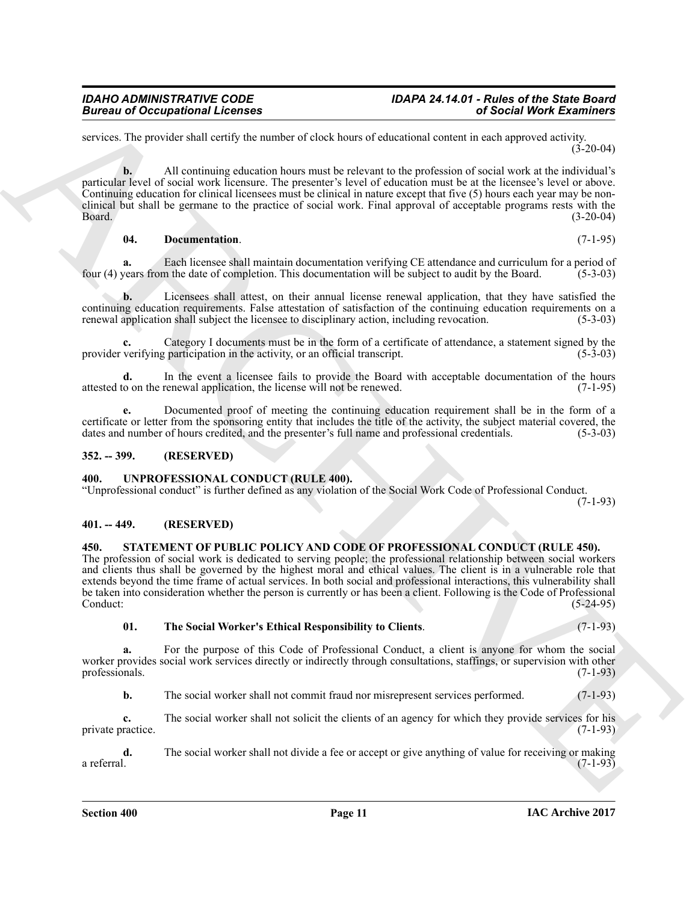services. The provider shall certify the number of clock hours of educational content in each approved activity.  $(3-20-04)$ 

**Bioreon of Occupations I Leonards**<br> **Bioreon of Compatibility and the counter of the local of visual continues and and properties of the continues and the continues of the continues of the continues of the continues of t b.** All continuing education hours must be relevant to the profession of social work at the individual's particular level of social work licensure. The presenter's level of education must be at the licensee's level or above. Continuing education for clinical licensees must be clinical in nature except that five (5) hours each year may be nonclinical but shall be germane to the practice of social work. Final approval of acceptable programs rests with the Board. (3-20-04) Board. (3-20-04)

<span id="page-10-4"></span>**04. Documentation**. (7-1-95)

**a.** Each licensee shall maintain documentation verifying CE attendance and curriculum for a period of vears from the date of completion. This documentation will be subject to audit by the Board. (5-3-03) four (4) years from the date of completion. This documentation will be subject to audit by the Board.

**b.** Licensees shall attest, on their annual license renewal application, that they have satisfied the continuing education requirements. False attestation of satisfaction of the continuing education requirements on a renewal application shall subject the licensee to disciplinary action, including revocation. (5-3-03) renewal application shall subject the licensee to disciplinary action, including revocation.

Category I documents must be in the form of a certificate of attendance, a statement signed by the coarticipation in the activity, or an official transcript. provider verifying participation in the activity, or an official transcript.

**d.** In the event a licensee fails to provide the Board with acceptable documentation of the hours to on the renewal application, the license will not be renewed. (7-1-95) attested to on the renewal application, the license will not be renewed.

**e.** Documented proof of meeting the continuing education requirement shall be in the form of a certificate or letter from the sponsoring entity that includes the title of the activity, the subject material covered, the dates and number of hours credited, and the presenter's full name and professional credentials. (5 dates and number of hours credited, and the presenter's full name and professional credentials.

#### <span id="page-10-0"></span>**352. -- 399. (RESERVED)**

#### <span id="page-10-7"></span><span id="page-10-1"></span>**400. UNPROFESSIONAL CONDUCT (RULE 400).**

"Unprofessional conduct" is further defined as any violation of the Social Work Code of Professional Conduct. (7-1-93)

<span id="page-10-2"></span>**401. -- 449. (RESERVED)**

#### <span id="page-10-5"></span><span id="page-10-3"></span>**450. STATEMENT OF PUBLIC POLICY AND CODE OF PROFESSIONAL CONDUCT (RULE 450).**

The profession of social work is dedicated to serving people; the professional relationship between social workers and clients thus shall be governed by the highest moral and ethical values. The client is in a vulnerable role that extends beyond the time frame of actual services. In both social and professional interactions, this vulnerability shall be taken into consideration whether the person is currently or has been a client. Following is the Code of Professional Conduct: (5-24-95)

<span id="page-10-6"></span>**01. The Social Worker's Ethical Responsibility to Clients**. (7-1-93)

**a.** For the purpose of this Code of Professional Conduct, a client is anyone for whom the social worker provides social work services directly or indirectly through consultations, staffings, or supervision with other professionals. (7-1-93)

**b.** The social worker shall not commit fraud nor misrepresent services performed. (7-1-93)

**c.** The social worker shall not solicit the clients of an agency for which they provide services for his ractice. (7-1-93) private practice.

**d.** The social worker shall not divide a fee or accept or give anything of value for receiving or making a referral. (7-1-93) a referral.  $(7-1-93)$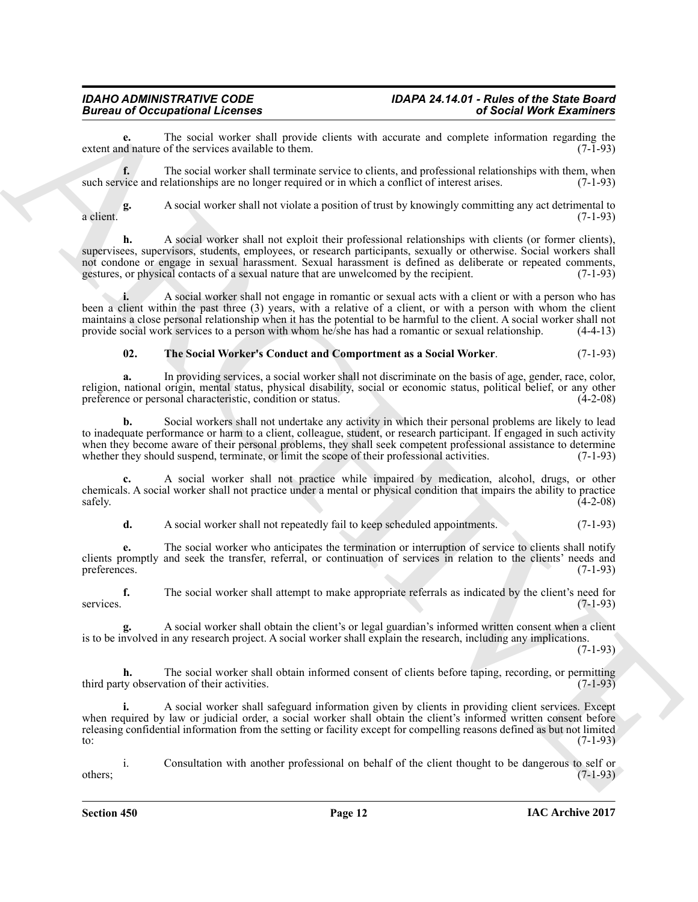**e.** The social worker shall provide clients with accurate and complete information regarding the district district district district district district district district district district district district district distric extent and nature of the services available to them.

**f.** The social worker shall terminate service to clients, and professional relationships with them, when such service and relationships are no longer required or in which a conflict of interest arises. (7-1-93)

**g.** A social worker shall not violate a position of trust by knowingly committing any act detrimental to a client.  $(7-1-93)$ 

Bureau of Occupation II Learners and the provision of the second state with a solid Morel Externibute control in the second with the second with the second with the second with the second with the second with the second w **h.** A social worker shall not exploit their professional relationships with clients (or former clients). supervisees, supervisors, students, employees, or research participants, sexually or otherwise. Social workers shall not condone or engage in sexual harassment. Sexual harassment is defined as deliberate or repeated comments, gestures, or physical contacts of a sexual nature that are unwelcomed by the recipient. (7-1-93) gestures, or physical contacts of a sexual nature that are unwelcomed by the recipient.

**i.** A social worker shall not engage in romantic or sexual acts with a client or with a person who has been a client within the past three (3) years, with a relative of a client, or with a person with whom the client maintains a close personal relationship when it has the potential to be harmful to the client. A social worker shall not provide social work services to a person with whom he/she has had a romantic or sexual relationship. provide social work services to a person with whom he/she has had a romantic or sexual relationship.

#### <span id="page-11-0"></span>**02. The Social Worker's Conduct and Comportment as a Social Worker**. (7-1-93)

**a.** In providing services, a social worker shall not discriminate on the basis of age, gender, race, color, religion, national origin, mental status, physical disability, social or economic status, political belief, or any other preference or personal characteristic, condition or status. preference or personal characteristic, condition or status.

**b.** Social workers shall not undertake any activity in which their personal problems are likely to lead to inadequate performance or harm to a client, colleague, student, or research participant. If engaged in such activity when they become aware of their personal problems, they shall seek competent professional assistance to determine<br>whether they should suspend, terminate, or limit the scope of their professional activities. (7-1-93) whether they should suspend, terminate, or limit the scope of their professional activities.

**c.** A social worker shall not practice while impaired by medication, alcohol, drugs, or other chemicals. A social worker shall not practice under a mental or physical condition that impairs the ability to practice  $\text{safely.}$  (4-2-08)

**d.** A social worker shall not repeatedly fail to keep scheduled appointments. (7-1-93)

**e.** The social worker who anticipates the termination or interruption of service to clients shall notify clients promptly and seek the transfer, referral, or continuation of services in relation to the clients' needs and preferences. (7-1-93) preferences.  $(7-1-93)$ 

**f.** The social worker shall attempt to make appropriate referrals as indicated by the client's need for services. (7-1-93)

**g.** A social worker shall obtain the client's or legal guardian's informed written consent when a client is to be involved in any research project. A social worker shall explain the research, including any implications.

 $(7-1-93)$ 

**h.** The social worker shall obtain informed consent of clients before taping, recording, or permitting third party observation of their activities. (7-1-93)

**i.** A social worker shall safeguard information given by clients in providing client services. Except when required by law or judicial order, a social worker shall obtain the client's informed written consent before releasing confidential information from the setting or facility except for compelling reasons defined as but not limited to: (7-1-93) to:  $(7-1-93)$ 

i. Consultation with another professional on behalf of the client thought to be dangerous to self or  $(7-1-93)$ 

**Section 450 Page 12**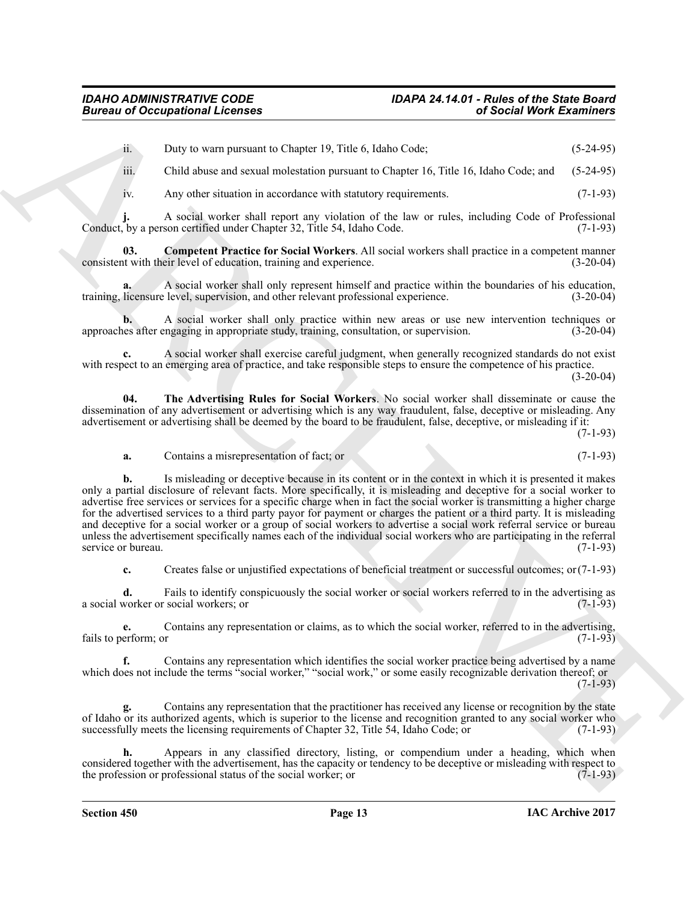ii. Duty to warn pursuant to Chapter 19, Title 6, Idaho Code; (5-24-95)

iii. Child abuse and sexual molestation pursuant to Chapter 16, Title 16, Idaho Code; and (5-24-95)

<span id="page-12-0"></span>iv. Any other situation in accordance with statutory requirements. (7-1-93)

**j.** A social worker shall report any violation of the law or rules, including Code of Professional by a person certified under Chapter 32, Title 54, Idaho Code. (7-1-93) Conduct, by a person certified under Chapter 32, Title 54, Idaho Code.

**03.** Competent Practice for Social Workers. All social workers shall practice in a competent manner in with their level of education, training and experience. (3-20-04) consistent with their level of education, training and experience.

**a.** A social worker shall only represent himself and practice within the boundaries of his education, training, licensure level, supervision, and other relevant professional experience. (3-20-04)

**b.** A social worker shall only practice within new areas or use new intervention techniques or les after engaging in appropriate study, training, consultation, or supervision. (3-20-04) approaches after engaging in appropriate study, training, consultation, or supervision.

**c.** A social worker shall exercise careful judgment, when generally recognized standards do not exist with respect to an emerging area of practice, and take responsible steps to ensure the competence of his practice.

(3-20-04)

**04. The Advertising Rules for Social Workers**. No social worker shall disseminate or cause the dissemination of any advertisement or advertising which is any way fraudulent, false, deceptive or misleading. Any advertisement or advertising shall be deemed by the board to be fraudulent, false, deceptive, or misleading if it:

(7-1-93)

<span id="page-12-1"></span>**a.** Contains a misrepresentation of fact; or (7-1-93)

Bureau of Occupations I Licensins<br>
Lab User to Paradio K. Chapter 19, Tales K. John C. Chapter 19, Tales K. John C. Chapter 19, Tales K. John C. Chapter 19, Tales K. John C. Chapter 19, Tales K. John C. Chapter 19, Tales **b.** Is misleading or deceptive because in its content or in the context in which it is presented it makes only a partial disclosure of relevant facts. More specifically, it is misleading and deceptive for a social worker to advertise free services or services for a specific charge when in fact the social worker is transmitting a higher charge for the advertised services to a third party payor for payment or charges the patient or a third party. It is misleading and deceptive for a social worker or a group of social workers to advertise a social work referral service or bureau unless the advertisement specifically names each of the individual social workers who are participating in the referral service or bureau. (7-1-93)

**c.** Creates false or unjustified expectations of beneficial treatment or successful outcomes; or(7-1-93)

**d.** Fails to identify conspicuously the social worker or social workers referred to in the advertising as worker or social workers: or (7-1-93) a social worker or social workers; or

**e.** Contains any representation or claims, as to which the social worker, referred to in the advertising, erform; or (7-1-93) fails to perform; or

**f.** Contains any representation which identifies the social worker practice being advertised by a name which does not include the terms "social worker," "social work," or some easily recognizable derivation thereof; or (7-1-93)

**g.** Contains any representation that the practitioner has received any license or recognition by the state of Idaho or its authorized agents, which is superior to the license and recognition granted to any social worker who successfully meets the licensing requirements of Chapter 32, Title 54, Idaho Code; or (7-1-93) successfully meets the licensing requirements of Chapter 32, Title 54, Idaho Code; or

**h.** Appears in any classified directory, listing, or compendium under a heading, which when considered together with the advertisement, has the capacity or tendency to be deceptive or misleading with respect to the profession or professional status of the social worker; or (7-1-93) the profession or professional status of the social worker; or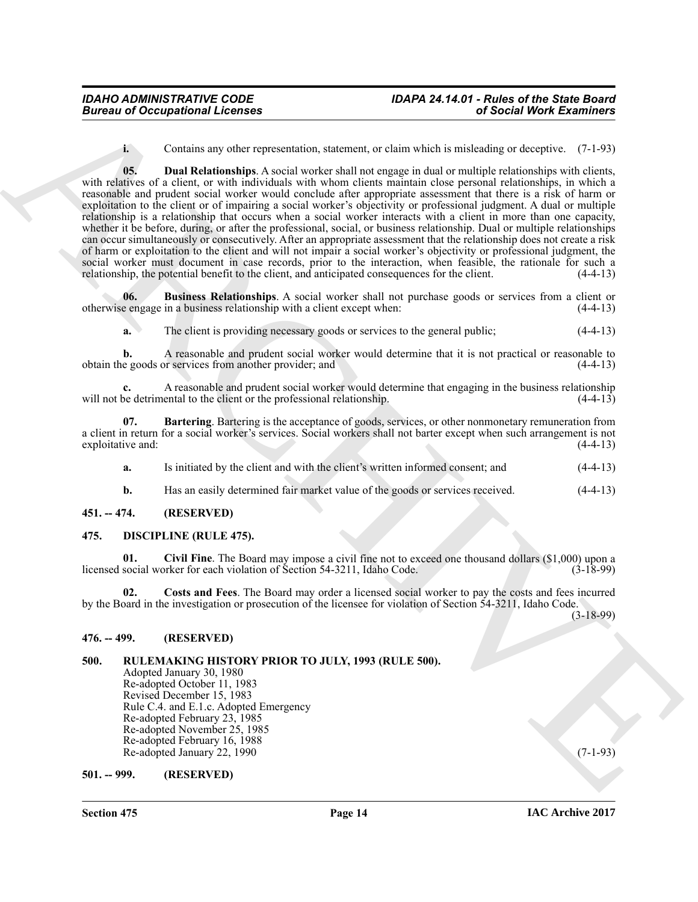<span id="page-13-10"></span>**i.** Contains any other representation, statement, or claim which is misleading or deceptive. (7-1-93)

**Bureau of Occupations I. Leonards**<br> **Constant of the first propositioned**, substitute, in their substitute is a second Merk Examine of the constant of the constant of the constant of the constant of the constant of the c **05. Dual Relationships**. A social worker shall not engage in dual or multiple relationships with clients, with relatives of a client, or with individuals with whom clients maintain close personal relationships, in which a reasonable and prudent social worker would conclude after appropriate assessment that there is a risk of harm or exploitation to the client or of impairing a social worker's objectivity or professional judgment. A dual or multiple relationship is a relationship that occurs when a social worker interacts with a client in more than one capacity, whether it be before, during, or after the professional, social, or business relationship. Dual or multiple relationships can occur simultaneously or consecutively. After an appropriate assessment that the relationship does not create a risk of harm or exploitation to the client and will not impair a social worker's objectivity or professional judgment, the social worker must document in case records, prior to the interaction, when feasible, the rationale for such a relationship, the potential benefit to the client, and anticipated consequences for the client. (4-4-13) relationship, the potential benefit to the client, and anticipated consequences for the client.

**06. Business Relationships**. A social worker shall not purchase goods or services from a client or otherwise engage in a business relationship with a client except when: (4-4-13)

<span id="page-13-9"></span>**a.** The client is providing necessary goods or services to the general public;  $(4-4-13)$ 

**b.** A reasonable and prudent social worker would determine that it is not practical or reasonable to e goods or services from another provider; and (4-4-13) obtain the goods or services from another provider; and

**c.** A reasonable and prudent social worker would determine that engaging in the business relationship of detrimental to the client or the professional relationship. will not be detrimental to the client or the professional relationship.

**07. Bartering**. Bartering is the acceptance of goods, services, or other nonmonetary remuneration from a client in return for a social worker's services. Social workers shall not barter except when such arrangement is not exploitative and:

<span id="page-13-8"></span>**a.** Is initiated by the client and with the client's written informed consent; and  $(4-4-13)$ 

<span id="page-13-6"></span><span id="page-13-5"></span>**b.** Has an easily determined fair market value of the goods or services received. (4-4-13)

#### <span id="page-13-0"></span>**451. -- 474. (RESERVED)**

#### <span id="page-13-1"></span>**475. DISCIPLINE (RULE 475).**

**01. Civil Fine**. The Board may impose a civil fine not to exceed one thousand dollars (\$1,000) upon a licensed social worker for each violation of Section 54-3211, Idaho Code.

<span id="page-13-7"></span>**02. Costs and Fees**. The Board may order a licensed social worker to pay the costs and fees incurred by the Board in the investigation or prosecution of the licensee for violation of Section 54-3211, Idaho Code.

(3-18-99)

#### <span id="page-13-2"></span>**476. -- 499. (RESERVED)**

#### <span id="page-13-3"></span>**500. RULEMAKING HISTORY PRIOR TO JULY, 1993 (RULE 500).**

Adopted January 30, 1980 Re-adopted October 11, 1983 Revised December 15, 1983 Rule C.4. and E.1.c. Adopted Emergency Re-adopted February 23, 1985 Re-adopted November 25, 1985 Re-adopted February 16, 1988 Re-adopted January 22, 1990 (7-1-93)

#### <span id="page-13-4"></span>**501. -- 999. (RESERVED)**